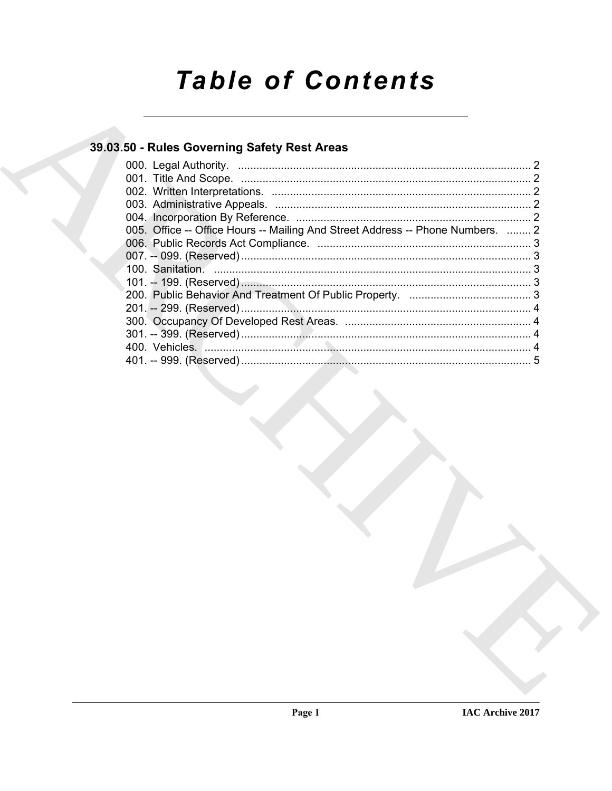# **Table of Contents**

### 39.03.50 - Rules Governing Safety Rest Areas

| 005. Office -- Office Hours -- Mailing And Street Address -- Phone Numbers.  2 |  |
|--------------------------------------------------------------------------------|--|
|                                                                                |  |
|                                                                                |  |
|                                                                                |  |
|                                                                                |  |
|                                                                                |  |
|                                                                                |  |
|                                                                                |  |
|                                                                                |  |
|                                                                                |  |
|                                                                                |  |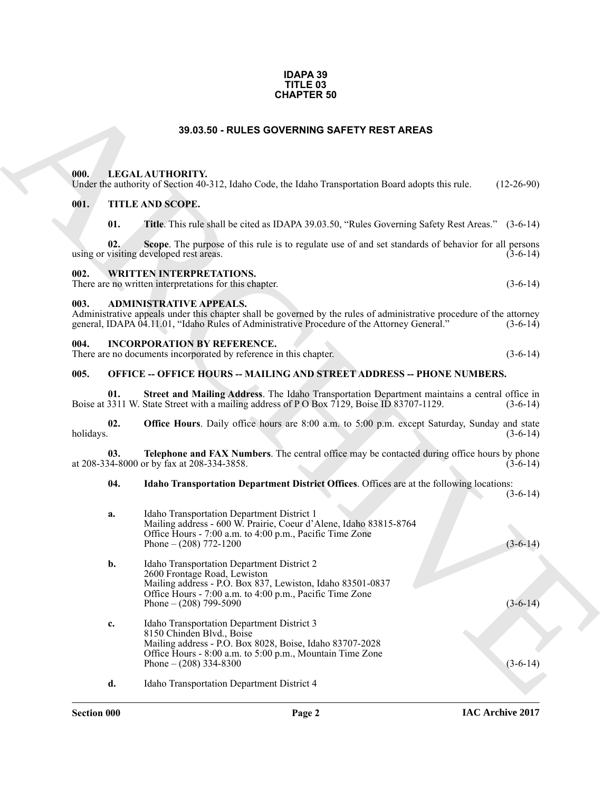#### **IDAPA 39 TITLE 03 CHAPTER 50**

#### **39.03.50 - RULES GOVERNING SAFETY REST AREAS**

<span id="page-1-1"></span><span id="page-1-0"></span>

| Under the authority of Section 40-312, Idaho Code, the Idaho Transportation Board adopts this rule.<br>$(12-26-90)$ |
|---------------------------------------------------------------------------------------------------------------------|
|---------------------------------------------------------------------------------------------------------------------|

#### <span id="page-1-2"></span>**001. TITLE AND SCOPE.**

#### <span id="page-1-3"></span>**002. WRITTEN INTERPRETATIONS.**

#### <span id="page-1-4"></span>**003. ADMINISTRATIVE APPEALS.**

#### <span id="page-1-5"></span>**004. INCORPORATION BY REFERENCE.**

#### <span id="page-1-6"></span>**005. OFFICE -- OFFICE HOURS -- MAILING AND STREET ADDRESS -- PHONE NUMBERS.**

#### **04. Idaho Transportation Department District Offices**. Offices are at the following locations:

|                  | <b>CHAPTER 50</b>                                                                                                                                                                                                                                     |              |
|------------------|-------------------------------------------------------------------------------------------------------------------------------------------------------------------------------------------------------------------------------------------------------|--------------|
|                  | 39.03.50 - RULES GOVERNING SAFETY REST AREAS                                                                                                                                                                                                          |              |
| 000.             | LEGAL AUTHORITY.<br>Under the authority of Section 40-312, Idaho Code, the Idaho Transportation Board adopts this rule.                                                                                                                               | $(12-26-90)$ |
| 001.             | TITLE AND SCOPE.                                                                                                                                                                                                                                      |              |
| 01.              | Title. This rule shall be cited as IDAPA 39.03.50, "Rules Governing Safety Rest Areas." (3-6-14)                                                                                                                                                      |              |
| 02.              | Scope. The purpose of this rule is to regulate use of and set standards of behavior for all persons<br>using or visiting developed rest areas.                                                                                                        | $(3-6-14)$   |
| 002.             | <b>WRITTEN INTERPRETATIONS.</b><br>There are no written interpretations for this chapter.                                                                                                                                                             | $(3-6-14)$   |
| 003.             | <b>ADMINISTRATIVE APPEALS.</b><br>Administrative appeals under this chapter shall be governed by the rules of administrative procedure of the attorney<br>general, IDAPA 04.11.01, "Idaho Rules of Administrative Procedure of the Attorney General." | $(3-6-14)$   |
| 004.             | <b>INCORPORATION BY REFERENCE.</b><br>There are no documents incorporated by reference in this chapter.                                                                                                                                               | $(3-6-14)$   |
| 005.             | <b>OFFICE -- OFFICE HOURS -- MAILING AND STREET ADDRESS -- PHONE NUMBERS.</b>                                                                                                                                                                         |              |
| 01.              | Street and Mailing Address. The Idaho Transportation Department maintains a central office in<br>Boise at 3311 W. State Street with a mailing address of P O Box 7129, Boise ID 83707-1129.                                                           | $(3-6-14)$   |
| 02.<br>holidays. | Office Hours. Daily office hours are 8:00 a.m. to 5:00 p.m. except Saturday, Sunday and state                                                                                                                                                         | $(3-6-14)$   |
| 03.              | Telephone and FAX Numbers. The central office may be contacted during office hours by phone<br>at 208-334-8000 or by fax at 208-334-3858.                                                                                                             | $(3-6-14)$   |
| 04.              | Idaho Transportation Department District Offices. Offices are at the following locations:                                                                                                                                                             | $(3-6-14)$   |
| a.               | Idaho Transportation Department District 1<br>Mailing address - 600 W. Prairie, Coeur d'Alene, Idaho 83815-8764<br>Office Hours - 7:00 a.m. to 4:00 p.m., Pacific Time Zone<br>Phone $- (208)$ 772-1200                                               | $(3-6-14)$   |
| b.               | Idaho Transportation Department District 2<br>2600 Frontage Road, Lewiston<br>Mailing address - P.O. Box 837, Lewiston, Idaho 83501-0837<br>Office Hours - 7:00 a.m. to 4:00 p.m., Pacific Time Zone<br>Phone $- (208)$ 799-5090                      | $(3-6-14)$   |
| c.               | Idaho Transportation Department District 3<br>8150 Chinden Blvd., Boise<br>Mailing address - P.O. Box 8028, Boise, Idaho 83707-2028<br>Office Hours - 8:00 a.m. to 5:00 p.m., Mountain Time Zone<br>Phone $- (208)$ 334-8300                          | $(3-6-14)$   |
| d.               | Idaho Transportation Department District 4                                                                                                                                                                                                            |              |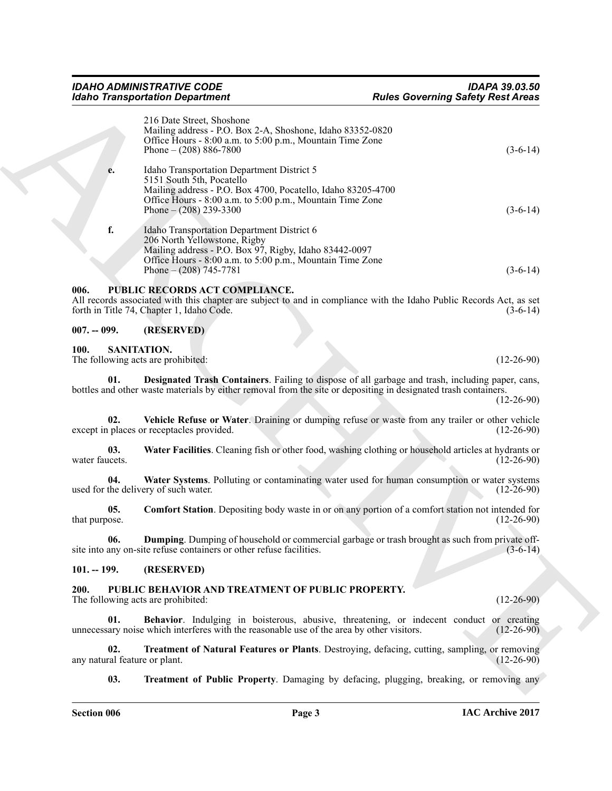<span id="page-2-15"></span><span id="page-2-14"></span><span id="page-2-13"></span><span id="page-2-12"></span><span id="page-2-11"></span><span id="page-2-10"></span><span id="page-2-9"></span><span id="page-2-8"></span><span id="page-2-7"></span><span id="page-2-6"></span><span id="page-2-5"></span><span id="page-2-4"></span><span id="page-2-3"></span><span id="page-2-2"></span><span id="page-2-1"></span><span id="page-2-0"></span>

|                                      | <b>Idaho Transportation Department</b>                                                                                                                                                                                           | <b>Rules Governing Safety Rest Areas</b>                                                                                          |
|--------------------------------------|----------------------------------------------------------------------------------------------------------------------------------------------------------------------------------------------------------------------------------|-----------------------------------------------------------------------------------------------------------------------------------|
|                                      | 216 Date Street, Shoshone<br>Mailing address - P.O. Box 2-A, Shoshone, Idaho 83352-0820<br>Office Hours - 8:00 a.m. to 5:00 p.m., Mountain Time Zone<br>Phone $- (208) 886 - 7800$                                               | $(3-6-14)$                                                                                                                        |
| e.                                   | Idaho Transportation Department District 5<br>5151 South 5th, Pocatello<br>Mailing address - P.O. Box 4700, Pocatello, Idaho 83205-4700<br>Office Hours - 8:00 a.m. to 5:00 p.m., Mountain Time Zone<br>Phone $- (208)$ 239-3300 | $(3-6-14)$                                                                                                                        |
| f.                                   | Idaho Transportation Department District 6<br>206 North Yellowstone, Rigby<br>Mailing address - P.O. Box 97, Rigby, Idaho 83442-0097<br>Office Hours - 8:00 a.m. to 5:00 p.m., Mountain Time Zone<br>Phone $- (208)$ 745-7781    | $(3-6-14)$                                                                                                                        |
| 006.                                 | PUBLIC RECORDS ACT COMPLIANCE.<br>forth in Title 74, Chapter 1, Idaho Code.                                                                                                                                                      | All records associated with this chapter are subject to and in compliance with the Idaho Public Records Act, as set<br>$(3-6-14)$ |
| $007. - 099.$                        | (RESERVED)                                                                                                                                                                                                                       |                                                                                                                                   |
| 100.                                 | SANITATION.<br>The following acts are prohibited:                                                                                                                                                                                | $(12-26-90)$                                                                                                                      |
| 01.                                  | bottles and other waste materials by either removal from the site or depositing in designated trash containers.                                                                                                                  | <b>Designated Trash Containers</b> . Failing to dispose of all garbage and trash, including paper, cans,<br>$(12-26-90)$          |
| 02.                                  | except in places or receptacles provided.                                                                                                                                                                                        | Vehicle Refuse or Water. Draining or dumping refuse or waste from any trailer or other vehicle<br>$(12-26-90)$                    |
| 03.<br>water faucets.                |                                                                                                                                                                                                                                  | Water Facilities. Cleaning fish or other food, washing clothing or household articles at hydrants or<br>$(12-26-90)$              |
| 04.                                  | used for the delivery of such water.                                                                                                                                                                                             | Water Systems. Polluting or contaminating water used for human consumption or water systems<br>$(12-26-90)$                       |
| 05.<br>that purpose.                 |                                                                                                                                                                                                                                  | <b>Comfort Station</b> . Depositing body waste in or on any portion of a comfort station not intended for<br>$(12-26-90)$         |
| 06.                                  | site into any on-site refuse containers or other refuse facilities.                                                                                                                                                              | Dumping. Dumping of household or commercial garbage or trash brought as such from private off-<br>$(3-6-14)$                      |
| $101. - 199.$                        | (RESERVED)                                                                                                                                                                                                                       |                                                                                                                                   |
| 200.                                 | PUBLIC BEHAVIOR AND TREATMENT OF PUBLIC PROPERTY.<br>The following acts are prohibited:                                                                                                                                          | $(12-26-90)$                                                                                                                      |
| 01.                                  | unnecessary noise which interferes with the reasonable use of the area by other visitors.                                                                                                                                        | Behavior. Indulging in boisterous, abusive, threatening, or indecent conduct or creating<br>$(12-26-90)$                          |
| 02.<br>any natural feature or plant. |                                                                                                                                                                                                                                  | Treatment of Natural Features or Plants. Destroying, defacing, cutting, sampling, or removing<br>$(12-26-90)$                     |
| 03.                                  |                                                                                                                                                                                                                                  | <b>Treatment of Public Property.</b> Damaging by defacing, plugging, breaking, or removing any                                    |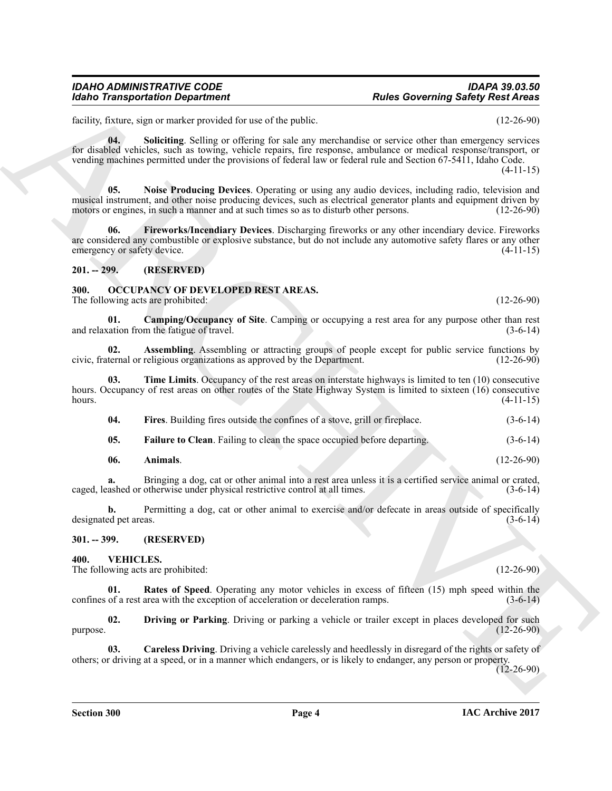#### *IDAHO ADMINISTRATIVE CODE IDAPA 39.03.50 Rules Governing Safety Rest Areas*

facility, fixture, sign or marker provided for use of the public. (12-26-90)

<span id="page-3-13"></span><span id="page-3-12"></span>**04. Soliciting**. Selling or offering for sale any merchandise or service other than emergency services for disabled vehicles, such as towing, vehicle repairs, fire response, ambulance or medical response/transport, or vending machines permitted under the provisions of federal law or federal rule and Section 67-5411, Idaho Code.

For the state of the state of the state of the state of the state of the state of the state of the state of the state of the state of the state of the state of the state of the state of the state of the state of the state **05. Noise Producing Devices**. Operating or using any audio devices, including radio, television and musical instrument, and other noise producing devices, such as electrical generator plants and equipment driven by motors or engines, in such a manner and at such times so as to disturb other persons. (12-26-90) motors or engines, in such a manner and at such times so as to disturb other persons.

<span id="page-3-11"></span>**06. Fireworks/Incendiary Devices**. Discharging fireworks or any other incendiary device. Fireworks are considered any combustible or explosive substance, but do not include any automotive safety flares or any other<br>emergency or safety device. (4-11-15) emergency or safety device.

#### <span id="page-3-0"></span>**201. -- 299. (RESERVED)**

#### <span id="page-3-4"></span><span id="page-3-1"></span>**300. OCCUPANCY OF DEVELOPED REST AREAS.**

The following acts are prohibited: (12-26-90)

<span id="page-3-7"></span>**01. Camping/Occupancy of Site**. Camping or occupying a rest area for any purpose other than rest and relaxation from the fatigue of travel.

<span id="page-3-6"></span>**02. Assembling**. Assembling or attracting groups of people except for public service functions by ternal or religious organizations as approved by the Department. (12-26-90) civic, fraternal or religious organizations as approved by the Department.

**03. Time Limits**. Occupancy of the rest areas on interstate highways is limited to ten (10) consecutive hours. Occupancy of rest areas on other routes of the State Highway System is limited to sixteen (16) consecutive hours. (4-11-15) hours.  $(4-11-15)$ 

<span id="page-3-10"></span><span id="page-3-9"></span>

| 04. | Fires. Building fires outside the confines of a stove, grill or fireplace. |  |  | $(3-6-14)$ |  |
|-----|----------------------------------------------------------------------------|--|--|------------|--|
|     |                                                                            |  |  |            |  |

<span id="page-3-8"></span>**05. Failure to Clean**. Failing to clean the space occupied before departing. (3-6-14)

<span id="page-3-5"></span>**06. Animals**. (12-26-90)

**a.** Bringing a dog, cat or other animal into a rest area unless it is a certified service animal or crated, ashed or otherwise under physical restrictive control at all times. (3-6-14) caged, leashed or otherwise under physical restrictive control at all times.

**b.** Permitting a dog, cat or other animal to exercise and/or defecate in areas outside of specifically ed pet areas. (3-6-14) designated pet areas.

<span id="page-3-2"></span>**301. -- 399. (RESERVED)**

<span id="page-3-14"></span><span id="page-3-3"></span>**400. VEHICLES.**

The following acts are prohibited: (12-26-90)

<span id="page-3-17"></span>**Rates of Speed**. Operating any motor vehicles in excess of fifteen (15) mph speed within the confines of a rest area with the exception of acceleration or deceleration ramps. (3-6-14)

<span id="page-3-16"></span>**02. Driving or Parking**. Driving or parking a vehicle or trailer except in places developed for such  $p$ urpose. (12-26-90)

<span id="page-3-15"></span>**03. Careless Driving**. Driving a vehicle carelessly and heedlessly in disregard of the rights or safety of others; or driving at a speed, or in a manner which endangers, or is likely to endanger, any person or property.  $(12 - 26 - 90)$ 

(4-11-15)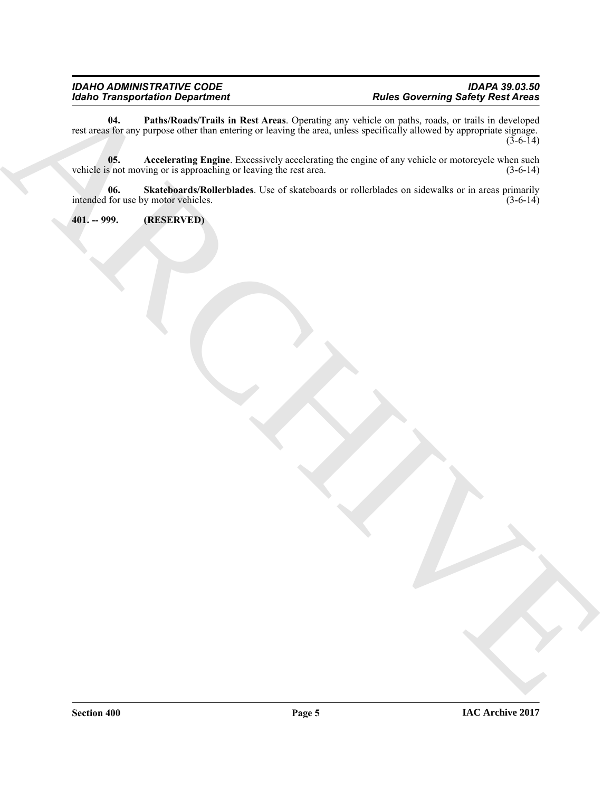Form Transportation Department<br>
Note to Transportation Department<br>
Note that you be a proportation like the Archives Quantum our control of the set of the Archives of<br>
Note that you be a proportation of the Archives for th **04. Paths/Roads/Trails in Rest Areas**. Operating any vehicle on paths, roads, or trails in developed rest areas for any purpose other than entering or leaving the area, unless specifically allowed by appropriate signage.  $(3-6-14)$ 

<span id="page-4-2"></span><span id="page-4-1"></span>**05.** Accelerating Engine. Excessively accelerating the engine of any vehicle or motorcycle when such s not moving or is approaching or leaving the rest area.  $(3-6-14)$ vehicle is not moving or is approaching or leaving the rest area.

<span id="page-4-3"></span>**06. Skateboards/Rollerblades**. Use of skateboards or rollerblades on sidewalks or in areas primarily intended for use by motor vehicles.

<span id="page-4-0"></span>**401. -- 999. (RESERVED)**